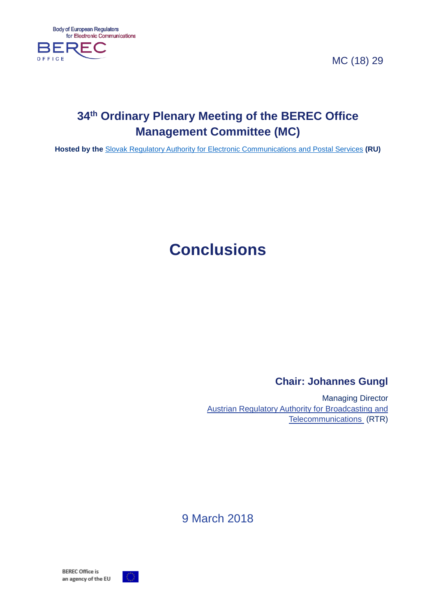MC (18) 29



# **34th Ordinary Plenary Meeting of the BEREC Office Management Committee (MC)**

**Hosted by the** [Slovak Regulatory Authority for Electronic Communications and Postal Services](http://www.teleoff.gov.sk/index.php?ID=9) **(RU)**

# **Conclusions**

## **Chair: Johannes Gungl**

Managing Director [Austrian Regulatory Authority for Broadcasting and](http://www.rtr.at/en)  [Telecommunications](http://www.rtr.at/en) (RTR)

9 March 2018

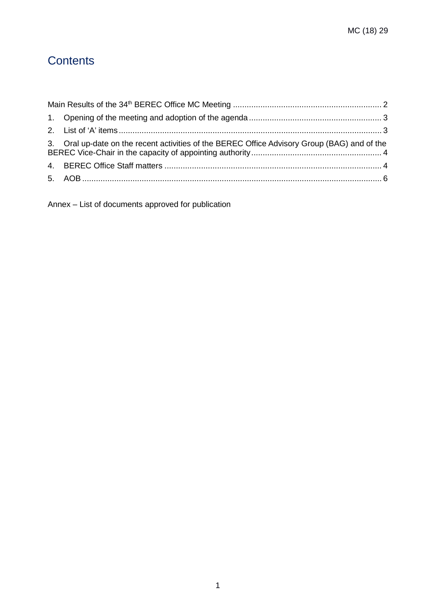# **Contents**

| 3. Oral up-date on the recent activities of the BEREC Office Advisory Group (BAG) and of the |  |
|----------------------------------------------------------------------------------------------|--|
|                                                                                              |  |
|                                                                                              |  |

Annex – List of documents approved for publication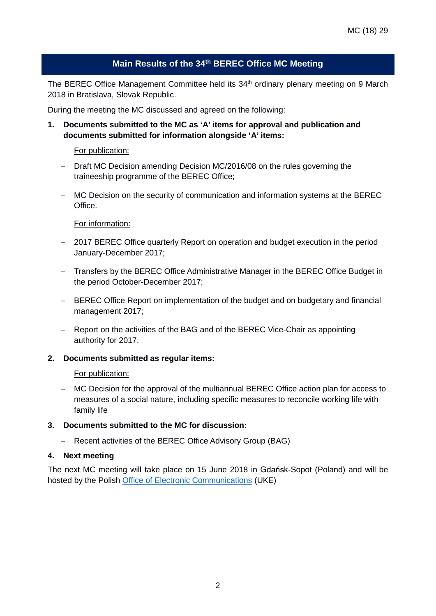#### **Main Results of the 34th BEREC Office MC Meeting**

<span id="page-2-0"></span>The BEREC Office Management Committee held its 34<sup>th</sup> ordinary plenary meeting on 9 March 2018 in Bratislava, Slovak Republic.

During the meeting the MC discussed and agreed on the following:

**1. Documents submitted to the MC as 'A' items for approval and publication and documents submitted for information alongside 'A' items:**

#### For publication:

- − Draft MC Decision amending Decision MC/2016/08 on the rules governing the traineeship programme of the BEREC Office;
- − MC Decision on the security of communication and information systems at the BEREC **Office**

#### For information:

- − 2017 BEREC Office quarterly Report on operation and budget execution in the period January-December 2017;
- − Transfers by the BEREC Office Administrative Manager in the BEREC Office Budget in the period October-December 2017;
- − BEREC Office Report on implementation of the budget and on budgetary and financial management 2017;
- − Report on the activities of the BAG and of the BEREC Vice-Chair as appointing authority for 2017.

#### **2. Documents submitted as regular items:**

#### For publication:

− MC Decision for the approval of the multiannual BEREC Office action plan for access to measures of a social nature, including specific measures to reconcile working life with family life

#### **3. Documents submitted to the MC for discussion:**

− Recent activities of the BEREC Office Advisory Group (BAG)

#### **4. Next meeting**

The next MC meeting will take place on 15 June 2018 in Gdańsk-Sopot (Poland) and will be hosted by the Polish [Office of Electronic Communications](https://www.uke.gov.pl/en/) (UKE)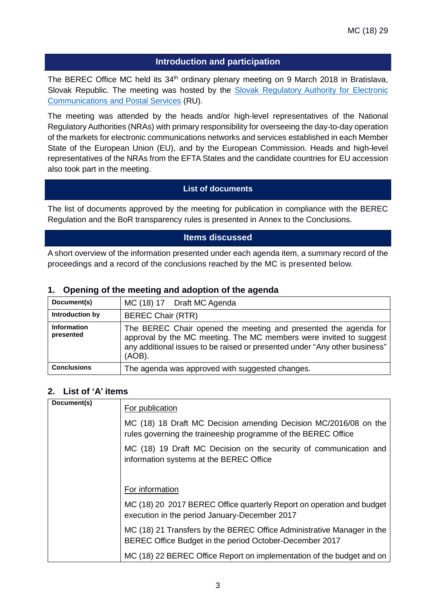#### **Introduction and participation**

The BEREC Office MC held its 34<sup>th</sup> ordinary plenary meeting on 9 March 2018 in Bratislava, Slovak Republic. The meeting was hosted by the Slovak Regulatory Authority for Electronic [Communications and Postal Services](http://www.teleoff.gov.sk/index.php?ID=9) (RU).

The meeting was attended by the heads and/or high-level representatives of the National Regulatory Authorities (NRAs) with primary responsibility for overseeing the day-to-day operation of the markets for electronic communications networks and services established in each Member State of the European Union (EU), and by the European Commission. Heads and high-level representatives of the NRAs from the EFTA States and the candidate countries for EU accession also took part in the meeting.

#### **List of documents**

The list of documents approved by the meeting for publication in compliance with the BEREC Regulation and the BoR transparency rules is presented in Annex to the Conclusions.

#### **Items discussed**

A short overview of the information presented under each agenda item, a summary record of the proceedings and a record of the conclusions reached by the MC is presented below.

| Document(s)                     | MC (18) 17 Draft MC Agenda                                                                                                                                                                                                       |
|---------------------------------|----------------------------------------------------------------------------------------------------------------------------------------------------------------------------------------------------------------------------------|
| Introduction by                 | <b>BEREC Chair (RTR)</b>                                                                                                                                                                                                         |
| <b>Information</b><br>presented | The BEREC Chair opened the meeting and presented the agenda for<br>approval by the MC meeting. The MC members were invited to suggest<br>any additional issues to be raised or presented under "Any other business"<br>$(AOB)$ . |
| <b>Conclusions</b>              | The agenda was approved with suggested changes.                                                                                                                                                                                  |

#### <span id="page-3-0"></span>**1. Opening of the meeting and adoption of the agenda**

#### <span id="page-3-1"></span>**2. List of 'A' items**

| Document(s) | For publication                                                                                                                   |
|-------------|-----------------------------------------------------------------------------------------------------------------------------------|
|             | MC (18) 18 Draft MC Decision amending Decision MC/2016/08 on the<br>rules governing the traineeship programme of the BEREC Office |
|             | MC (18) 19 Draft MC Decision on the security of communication and<br>information systems at the BEREC Office                      |
|             |                                                                                                                                   |
|             | For information                                                                                                                   |
|             | MC (18) 20 2017 BEREC Office quarterly Report on operation and budget<br>execution in the period January-December 2017            |
|             | MC (18) 21 Transfers by the BEREC Office Administrative Manager in the<br>BEREC Office Budget in the period October-December 2017 |
|             | MC (18) 22 BEREC Office Report on implementation of the budget and on                                                             |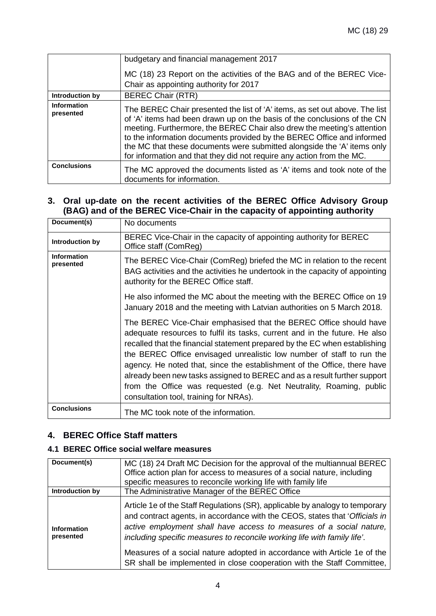|                                 | budgetary and financial management 2017<br>MC (18) 23 Report on the activities of the BAG and of the BEREC Vice-<br>Chair as appointing authority for 2017                                                                                                                                                                                                                                                                                                       |
|---------------------------------|------------------------------------------------------------------------------------------------------------------------------------------------------------------------------------------------------------------------------------------------------------------------------------------------------------------------------------------------------------------------------------------------------------------------------------------------------------------|
| Introduction by                 | <b>BEREC Chair (RTR)</b>                                                                                                                                                                                                                                                                                                                                                                                                                                         |
| <b>Information</b><br>presented | The BEREC Chair presented the list of 'A' items, as set out above. The list<br>of 'A' items had been drawn up on the basis of the conclusions of the CN<br>meeting. Furthermore, the BEREC Chair also drew the meeting's attention<br>to the information documents provided by the BEREC Office and informed<br>the MC that these documents were submitted alongside the 'A' items only<br>for information and that they did not require any action from the MC. |
| <b>Conclusions</b>              | The MC approved the documents listed as 'A' items and took note of the<br>documents for information.                                                                                                                                                                                                                                                                                                                                                             |

#### <span id="page-4-0"></span>**3. Oral up-date on the recent activities of the BEREC Office Advisory Group (BAG) and of the BEREC Vice-Chair in the capacity of appointing authority**

| Document(s)              | No documents                                                                                                                                                                                                                                                                                                                                                                                                                                                                                                                                                                    |
|--------------------------|---------------------------------------------------------------------------------------------------------------------------------------------------------------------------------------------------------------------------------------------------------------------------------------------------------------------------------------------------------------------------------------------------------------------------------------------------------------------------------------------------------------------------------------------------------------------------------|
| Introduction by          | BEREC Vice-Chair in the capacity of appointing authority for BEREC<br>Office staff (ComReg)                                                                                                                                                                                                                                                                                                                                                                                                                                                                                     |
| Information<br>presented | The BEREC Vice-Chair (ComReg) briefed the MC in relation to the recent<br>BAG activities and the activities he undertook in the capacity of appointing<br>authority for the BEREC Office staff.                                                                                                                                                                                                                                                                                                                                                                                 |
|                          | He also informed the MC about the meeting with the BEREC Office on 19<br>January 2018 and the meeting with Latvian authorities on 5 March 2018.                                                                                                                                                                                                                                                                                                                                                                                                                                 |
|                          | The BEREC Vice-Chair emphasised that the BEREC Office should have<br>adequate resources to fulfil its tasks, current and in the future. He also<br>recalled that the financial statement prepared by the EC when establishing<br>the BEREC Office envisaged unrealistic low number of staff to run the<br>agency. He noted that, since the establishment of the Office, there have<br>already been new tasks assigned to BEREC and as a result further support<br>from the Office was requested (e.g. Net Neutrality, Roaming, public<br>consultation tool, training for NRAs). |
| <b>Conclusions</b>       | The MC took note of the information.                                                                                                                                                                                                                                                                                                                                                                                                                                                                                                                                            |

#### <span id="page-4-1"></span>**4. BEREC Office Staff matters**

#### **4.1 BEREC Office social welfare measures**

| Document(s)                     | MC (18) 24 Draft MC Decision for the approval of the multiannual BEREC<br>Office action plan for access to measures of a social nature, including<br>specific measures to reconcile working life with family life                                                                                                                                                                                                                                                    |
|---------------------------------|----------------------------------------------------------------------------------------------------------------------------------------------------------------------------------------------------------------------------------------------------------------------------------------------------------------------------------------------------------------------------------------------------------------------------------------------------------------------|
| Introduction by                 | The Administrative Manager of the BEREC Office                                                                                                                                                                                                                                                                                                                                                                                                                       |
| <b>Information</b><br>presented | Article 1e of the Staff Regulations (SR), applicable by analogy to temporary<br>and contract agents, in accordance with the CEOS, states that 'Officials in<br>active employment shall have access to measures of a social nature,<br>including specific measures to reconcile working life with family life'.<br>Measures of a social nature adopted in accordance with Article 1e of the<br>SR shall be implemented in close cooperation with the Staff Committee, |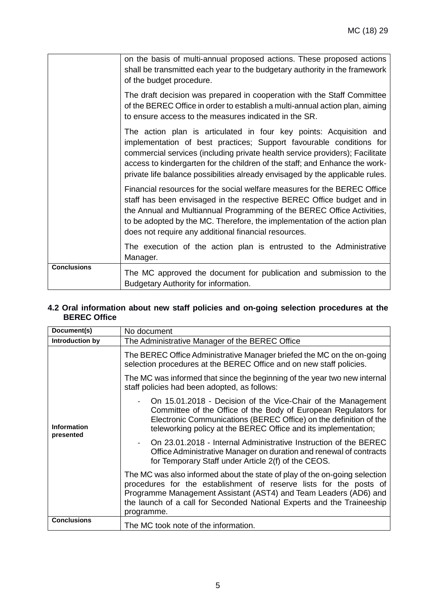|                    | on the basis of multi-annual proposed actions. These proposed actions<br>shall be transmitted each year to the budgetary authority in the framework<br>of the budget procedure.                                                                                                                                                                                                           |
|--------------------|-------------------------------------------------------------------------------------------------------------------------------------------------------------------------------------------------------------------------------------------------------------------------------------------------------------------------------------------------------------------------------------------|
|                    | The draft decision was prepared in cooperation with the Staff Committee<br>of the BEREC Office in order to establish a multi-annual action plan, aiming<br>to ensure access to the measures indicated in the SR.                                                                                                                                                                          |
|                    | The action plan is articulated in four key points: Acquisition and<br>implementation of best practices; Support favourable conditions for<br>commercial services (including private health service providers); Facilitate<br>access to kindergarten for the children of the staff; and Enhance the work-<br>private life balance possibilities already envisaged by the applicable rules. |
|                    | Financial resources for the social welfare measures for the BEREC Office<br>staff has been envisaged in the respective BEREC Office budget and in<br>the Annual and Multiannual Programming of the BEREC Office Activities,<br>to be adopted by the MC. Therefore, the implementation of the action plan<br>does not require any additional financial resources.                          |
|                    | The execution of the action plan is entrusted to the Administrative<br>Manager.                                                                                                                                                                                                                                                                                                           |
| <b>Conclusions</b> | The MC approved the document for publication and submission to the<br>Budgetary Authority for information.                                                                                                                                                                                                                                                                                |

#### **4.2 Oral information about new staff policies and on-going selection procedures at the BEREC Office**

| Document(s)        | No document                                                                                                                                                                                                                                                                                                  |
|--------------------|--------------------------------------------------------------------------------------------------------------------------------------------------------------------------------------------------------------------------------------------------------------------------------------------------------------|
| Introduction by    | The Administrative Manager of the BEREC Office                                                                                                                                                                                                                                                               |
|                    | The BEREC Office Administrative Manager briefed the MC on the on-going<br>selection procedures at the BEREC Office and on new staff policies.                                                                                                                                                                |
|                    | The MC was informed that since the beginning of the year two new internal<br>staff policies had been adopted, as follows:                                                                                                                                                                                    |
| <b>Information</b> | On 15.01.2018 - Decision of the Vice-Chair of the Management<br>Committee of the Office of the Body of European Regulators for<br>Electronic Communications (BEREC Office) on the definition of the<br>teleworking policy at the BEREC Office and its implementation;                                        |
| presented          | On 23.01.2018 - Internal Administrative Instruction of the BEREC<br>Office Administrative Manager on duration and renewal of contracts<br>for Temporary Staff under Article 2(f) of the CEOS.                                                                                                                |
|                    | The MC was also informed about the state of play of the on-going selection<br>procedures for the establishment of reserve lists for the posts of<br>Programme Management Assistant (AST4) and Team Leaders (AD6) and<br>the launch of a call for Seconded National Experts and the Traineeship<br>programme. |
| <b>Conclusions</b> | The MC took note of the information.                                                                                                                                                                                                                                                                         |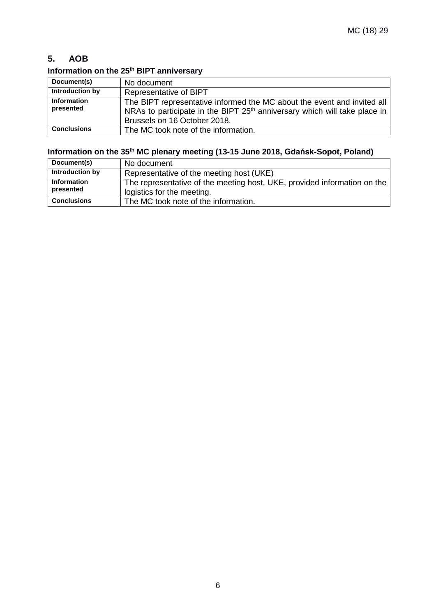### <span id="page-6-0"></span>**5. AOB**

### **Information on the 25th BIPT anniversary**

| Document(s)                     | No document                                                                                                                                                                                      |
|---------------------------------|--------------------------------------------------------------------------------------------------------------------------------------------------------------------------------------------------|
| Introduction by                 | <b>Representative of BIPT</b>                                                                                                                                                                    |
| <b>Information</b><br>presented | The BIPT representative informed the MC about the event and invited all<br>NRAs to participate in the BIPT 25 <sup>th</sup> anniversary which will take place in<br>Brussels on 16 October 2018. |
| <b>Conclusions</b>              | The MC took note of the information.                                                                                                                                                             |

# **Information on the 35th MC plenary meeting (13-15 June 2018, Gdańsk-Sopot, Poland)**

| Document(s)                     | No document                                                                                            |
|---------------------------------|--------------------------------------------------------------------------------------------------------|
| Introduction by                 | Representative of the meeting host (UKE)                                                               |
| <b>Information</b><br>presented | The representative of the meeting host, UKE, provided information on the<br>logistics for the meeting. |
| <b>Conclusions</b>              | The MC took note of the information.                                                                   |